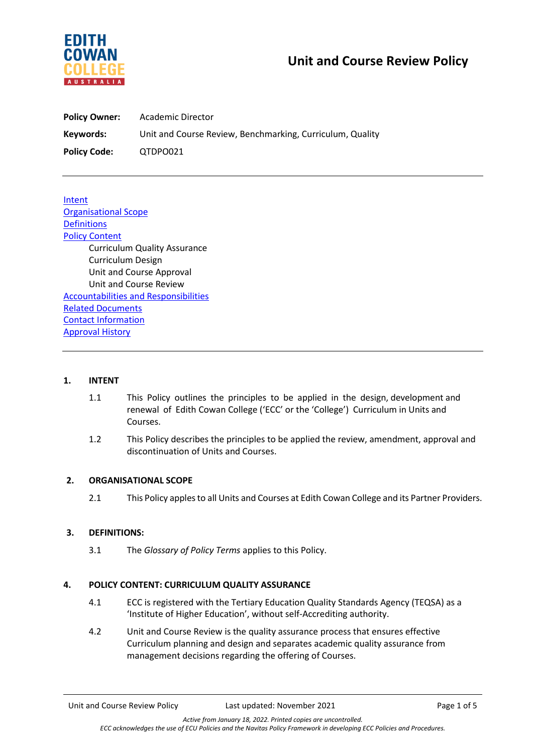

# **Unit and Course Review Policy**

| <b>Policy Owner:</b> | Academic Director                                         |
|----------------------|-----------------------------------------------------------|
| Keywords:            | Unit and Course Review, Benchmarking, Curriculum, Quality |
| <b>Policy Code:</b>  | QTDPO021                                                  |

**Intent** Organisational Scope **Definitions Policy Content** Curriculum Quality Assurance Curriculum Design Unit and Course Approval Unit and Course Review Accountabilities and Responsibilities Related Documents Contact Information Approval History

## **1. INTENT**

- 1.1 This Policy outlines the principles to be applied in the design, development and renewal of Edith Cowan College ('ECC' or the 'College') Curriculum in Units and Courses.
- 1.2 This Policy describes the principles to be applied the review, amendment, approval and discontinuation of Units and Courses.

# **2. ORGANISATIONAL SCOPE**

2.1 This Policy apples to all Units and Courses at Edith Cowan College and its Partner Providers.

# **3. DEFINITIONS:**

3.1 The *Glossary of Policy Terms* applies to this Policy.

# **4. POLICY CONTENT: CURRICULUM QUALITY ASSURANCE**

- 4.1 ECC is registered with the Tertiary Education Quality Standards Agency (TEQSA) as a 'Institute of Higher Education', without self-Accrediting authority.
- 4.2 Unit and Course Review is the quality assurance process that ensures effective Curriculum planning and design and separates academic quality assurance from management decisions regarding the offering of Courses.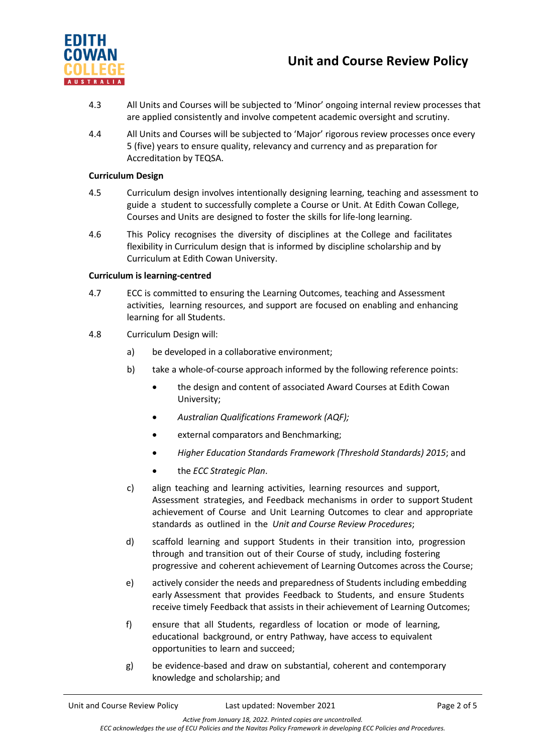

# **Unit and Course Review Policy**

- 4.3 All Units and Courses will be subjected to 'Minor' ongoing internal review processes that are applied consistently and involve competent academic oversight and scrutiny.
- 4.4 All Units and Courses will be subjected to 'Major' rigorous review processes once every 5 (five) years to ensure quality, relevancy and currency and as preparation for Accreditation by TEQSA.

#### **Curriculum Design**

- 4.5 Curriculum design involves intentionally designing learning, teaching and assessment to guide a student to successfully complete a Course or Unit. At Edith Cowan College, Courses and Units are designed to foster the skills for life-long learning.
- 4.6 This Policy recognises the diversity of disciplines at the College and facilitates flexibility in Curriculum design that is informed by discipline scholarship and by Curriculum at Edith Cowan University.

# **Curriculum is learning-centred**

- 4.7 ECC is committed to ensuring the Learning Outcomes, teaching and Assessment activities, learning resources, and support are focused on enabling and enhancing learning for all Students.
- 4.8 Curriculum Design will:
	- a) be developed in a collaborative environment;
	- b) take a whole-of-course approach informed by the following reference points:
		- the design and content of associated Award Courses at Edith Cowan University;
		- *Australian Qualifications Framework (AQF);*
		- external comparators and Benchmarking;
		- *Higher Education Standards Framework (Threshold Standards) 2015*; and
		- the *ECC Strategic Plan*.
	- c) align teaching and learning activities, learning resources and support, Assessment strategies, and Feedback mechanisms in order to support Student achievement of Course and Unit Learning Outcomes to clear and appropriate standards as outlined in the *Unit and Course Review Procedures*;
	- d) scaffold learning and support Students in their transition into, progression through and transition out of their Course of study, including fostering progressive and coherent achievement of Learning Outcomes across the Course;
	- e) actively consider the needs and preparedness of Students including embedding early Assessment that provides Feedback to Students, and ensure Students receive timely Feedback that assists in their achievement of Learning Outcomes;
	- f) ensure that all Students, regardless of location or mode of learning, educational background, or entry Pathway, have access to equivalent opportunities to learn and succeed;
	- g) be evidence-based and draw on substantial, coherent and contemporary knowledge and scholarship; and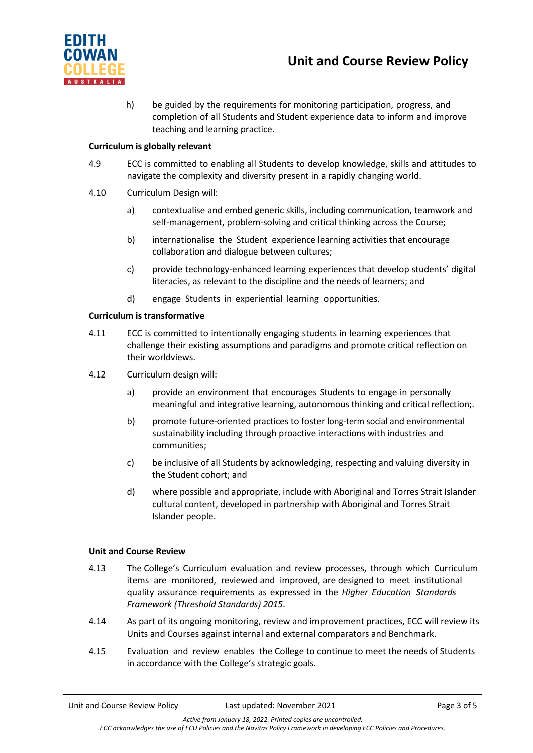

h) be guided by the requirements for monitoring participation, progress, and completion of all Students and Student experience data to inform and improve teaching and learning practice.

## **Curriculum is globally relevant**

- 4.9 ECC is committed to enabling all Students to develop knowledge, skills and attitudes to navigate the complexity and diversity present in a rapidly changing world.
- 4.10 Curriculum Design will:
	- a) contextualise and embed generic skills, including communication, teamwork and self-management, problem-solving and critical thinking across the Course;
	- b) internationalise the Student experience learning activities that encourage collaboration and dialogue between cultures;
	- c) provide technology-enhanced learning experiences that develop students' digital literacies, as relevant to the discipline and the needs of learners; and
	- d) engage Students in experiential learning opportunities.

### **Curriculum is transformative**

- 4.11 ECC is committed to intentionally engaging students in learning experiences that challenge their existing assumptions and paradigms and promote critical reflection on their worldviews.
- 4.12 Curriculum design will:
	- a) provide an environment that encourages Students to engage in personally meaningful and integrative learning, autonomous thinking and critical reflection;.
	- b) promote future-oriented practices to foster long-term social and environmental sustainability including through proactive interactions with industries and communities;
	- c) be inclusive of all Students by acknowledging, respecting and valuing diversity in the Student cohort; and
	- d) where possible and appropriate, include with Aboriginal and Torres Strait Islander cultural content, developed in partnership with Aboriginal and Torres Strait Islander people.

#### **Unit and Course Review**

- 4.13 The College's Curriculum evaluation and review processes, through which Curriculum items are monitored, reviewed and improved, are designed to meet institutional quality assurance requirements as expressed in the *Higher Education Standards Framework (Threshold Standards) 2015*.
- 4.14 As part of its ongoing monitoring, review and improvement practices, ECC will review its Units and Courses against internal and external comparators and Benchmark.
- 4.15 Evaluation and review enables the College to continue to meet the needs of Students in accordance with the College's strategic goals.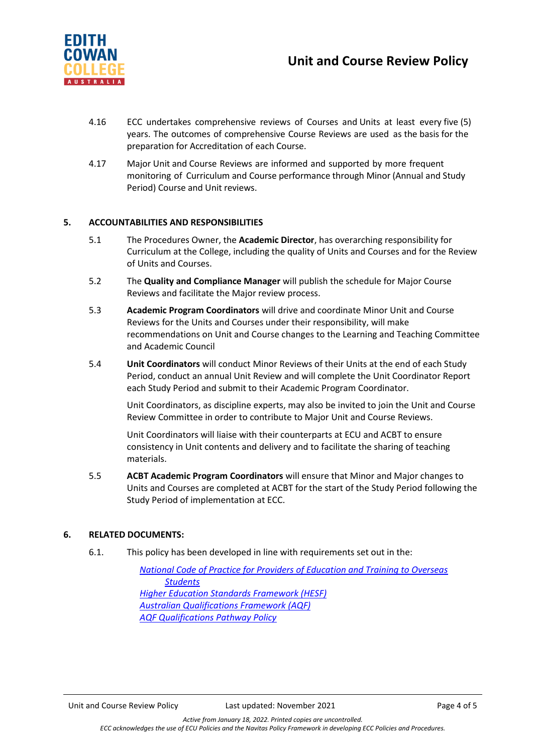

- 4.16 ECC undertakes comprehensive reviews of Courses and Units at least every five (5) years. The outcomes of comprehensive Course Reviews are used as the basis for the preparation for Accreditation of each Course.
- 4.17 Major Unit and Course Reviews are informed and supported by more frequent monitoring of Curriculum and Course performance through Minor (Annual and Study Period) Course and Unit reviews.

### **5. ACCOUNTABILITIES AND RESPONSIBILITIES**

- 5.1 The Procedures Owner, the **Academic Director**, has overarching responsibility for Curriculum at the College, including the quality of Units and Courses and for the Review of Units and Courses.
- 5.2 The **Quality and Compliance Manager** will publish the schedule for Major Course Reviews and facilitate the Major review process.
- 5.3 **Academic Program Coordinators** will drive and coordinate Minor Unit and Course Reviews for the Units and Courses under their responsibility, will make recommendations on Unit and Course changes to the Learning and Teaching Committee and Academic Council
- 5.4 **Unit Coordinators** will conduct Minor Reviews of their Units at the end of each Study Period, conduct an annual Unit Review and will complete the Unit Coordinator Report each Study Period and submit to their Academic Program Coordinator.

Unit Coordinators, as discipline experts, may also be invited to join the Unit and Course Review Committee in order to contribute to Major Unit and Course Reviews.

Unit Coordinators will liaise with their counterparts at ECU and ACBT to ensure consistency in Unit contents and delivery and to facilitate the sharing of teaching materials.

5.5 **ACBT Academic Program Coordinators** will ensure that Minor and Major changes to Units and Courses are completed at ACBT for the start of the Study Period following the Study Period of implementation at ECC.

#### **6. RELATED DOCUMENTS:**

6.1. This policy has been developed in line with requirements set out in the:

*[National Code of Practice for Providers of Education and Training to Overseas](https://internationaleducation.gov.au/Regulatory-Information/Pages/National-Code-2018-Factsheets-.aspx)  [Students](https://internationaleducation.gov.au/Regulatory-Information/Pages/National-Code-2018-Factsheets-.aspx) [Higher Education Standards Framework \(HESF\)](https://www.teqsa.gov.au/higher-education-standards-framework-2015) [Australian Qualifications Framework \(AQF\)](https://www.aqf.edu.au/) [AQF Qualifications Pathway Policy](https://www.aqf.edu.au/aqf-policies)*